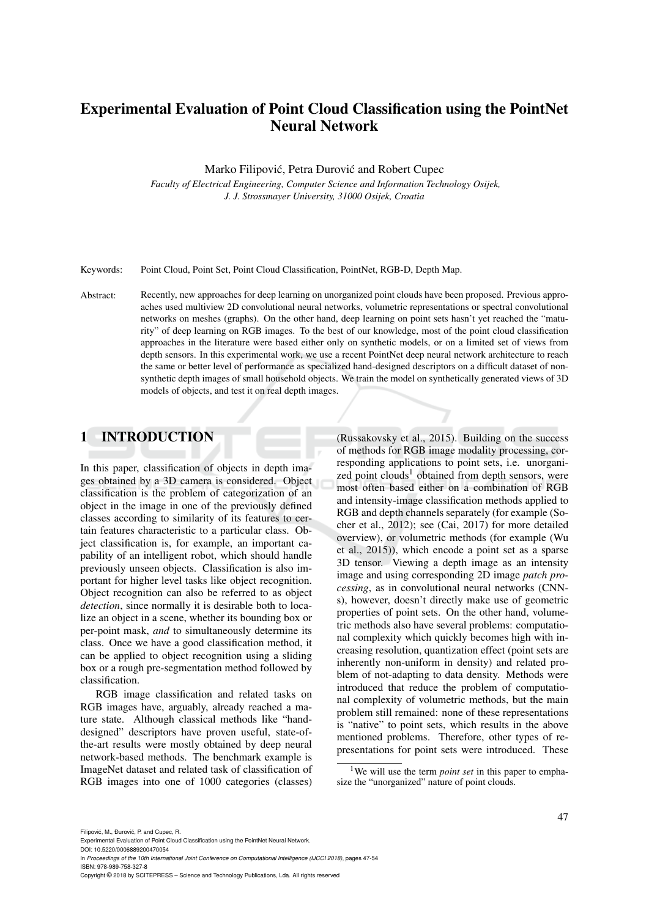# Experimental Evaluation of Point Cloud Classification using the PointNet Neural Network

Marko Filipović, Petra Đurović and Robert Cupec

*Faculty of Electrical Engineering, Computer Science and Information Technology Osijek, J. J. Strossmayer University, 31000 Osijek, Croatia*

Keywords: Point Cloud, Point Set, Point Cloud Classification, PointNet, RGB-D, Depth Map.

Abstract: Recently, new approaches for deep learning on unorganized point clouds have been proposed. Previous approaches used multiview 2D convolutional neural networks, volumetric representations or spectral convolutional networks on meshes (graphs). On the other hand, deep learning on point sets hasn't yet reached the "maturity" of deep learning on RGB images. To the best of our knowledge, most of the point cloud classification approaches in the literature were based either only on synthetic models, or on a limited set of views from depth sensors. In this experimental work, we use a recent PointNet deep neural network architecture to reach the same or better level of performance as specialized hand-designed descriptors on a difficult dataset of nonsynthetic depth images of small household objects. We train the model on synthetically generated views of 3D models of objects, and test it on real depth images.

## 1 INTRODUCTION

In this paper, classification of objects in depth images obtained by a 3D camera is considered. Object classification is the problem of categorization of an object in the image in one of the previously defined classes according to similarity of its features to certain features characteristic to a particular class. Object classification is, for example, an important capability of an intelligent robot, which should handle previously unseen objects. Classification is also important for higher level tasks like object recognition. Object recognition can also be referred to as object *detection*, since normally it is desirable both to localize an object in a scene, whether its bounding box or per-point mask, *and* to simultaneously determine its class. Once we have a good classification method, it can be applied to object recognition using a sliding box or a rough pre-segmentation method followed by classification.

RGB image classification and related tasks on RGB images have, arguably, already reached a mature state. Although classical methods like "handdesigned" descriptors have proven useful, state-ofthe-art results were mostly obtained by deep neural network-based methods. The benchmark example is ImageNet dataset and related task of classification of RGB images into one of 1000 categories (classes)

(Russakovsky et al., 2015). Building on the success of methods for RGB image modality processing, corresponding applications to point sets, i.e. unorganized point clouds<sup>1</sup> obtained from depth sensors, were most often based either on a combination of RGB and intensity-image classification methods applied to RGB and depth channels separately (for example (Socher et al., 2012); see (Cai, 2017) for more detailed overview), or volumetric methods (for example (Wu et al., 2015)), which encode a point set as a sparse 3D tensor. Viewing a depth image as an intensity image and using corresponding 2D image *patch processing*, as in convolutional neural networks (CNNs), however, doesn't directly make use of geometric properties of point sets. On the other hand, volumetric methods also have several problems: computational complexity which quickly becomes high with increasing resolution, quantization effect (point sets are inherently non-uniform in density) and related problem of not-adapting to data density. Methods were introduced that reduce the problem of computational complexity of volumetric methods, but the main problem still remained: none of these representations is "native" to point sets, which results in the above mentioned problems. Therefore, other types of representations for point sets were introduced. These

DOI: 10.5220/0006889200470054 In *Proceedings of the 10th International Joint Conference on Computational Intelligence (IJCCI 2018)*, pages 47-54 ISBN: 978-989-758-327-8

Copyright © 2018 by SCITEPRESS – Science and Technology Publications, Lda. All rights reserved

<sup>1</sup>We will use the term *point set* in this paper to emphasize the "unorganized" nature of point clouds.

Experimental Evaluation of Point Cloud Classification using the PointNet Neural Network.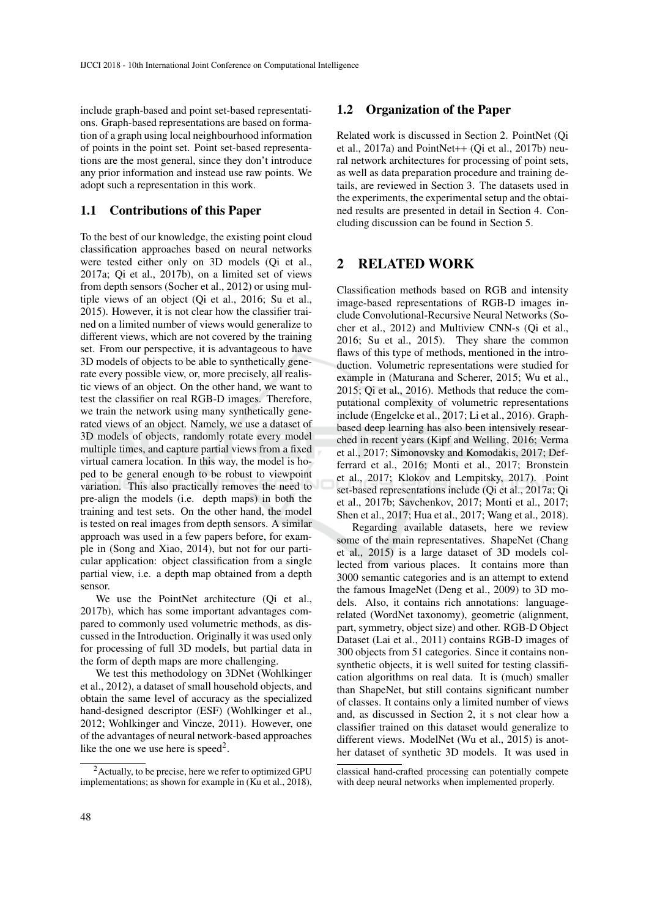include graph-based and point set-based representations. Graph-based representations are based on formation of a graph using local neighbourhood information of points in the point set. Point set-based representations are the most general, since they don't introduce any prior information and instead use raw points. We adopt such a representation in this work.

#### 1.1 Contributions of this Paper

To the best of our knowledge, the existing point cloud classification approaches based on neural networks were tested either only on 3D models (Qi et al., 2017a; Qi et al., 2017b), on a limited set of views from depth sensors (Socher et al., 2012) or using multiple views of an object (Qi et al., 2016; Su et al., 2015). However, it is not clear how the classifier trained on a limited number of views would generalize to different views, which are not covered by the training set. From our perspective, it is advantageous to have 3D models of objects to be able to synthetically generate every possible view, or, more precisely, all realistic views of an object. On the other hand, we want to test the classifier on real RGB-D images. Therefore, we train the network using many synthetically generated views of an object. Namely, we use a dataset of 3D models of objects, randomly rotate every model multiple times, and capture partial views from a fixed virtual camera location. In this way, the model is hoped to be general enough to be robust to viewpoint variation. This also practically removes the need to pre-align the models (i.e. depth maps) in both the training and test sets. On the other hand, the model is tested on real images from depth sensors. A similar approach was used in a few papers before, for example in (Song and Xiao, 2014), but not for our particular application: object classification from a single partial view, i.e. a depth map obtained from a depth sensor.

We use the PointNet architecture (Qi et al., 2017b), which has some important advantages compared to commonly used volumetric methods, as discussed in the Introduction. Originally it was used only for processing of full 3D models, but partial data in the form of depth maps are more challenging.

We test this methodology on 3DNet (Wohlkinger et al., 2012), a dataset of small household objects, and obtain the same level of accuracy as the specialized hand-designed descriptor (ESF) (Wohlkinger et al., 2012; Wohlkinger and Vincze, 2011). However, one of the advantages of neural network-based approaches like the one we use here is speed<sup>2</sup>.

#### 1.2 Organization of the Paper

Related work is discussed in Section 2. PointNet (Qi et al., 2017a) and PointNet++ (Qi et al., 2017b) neural network architectures for processing of point sets, as well as data preparation procedure and training details, are reviewed in Section 3. The datasets used in the experiments, the experimental setup and the obtained results are presented in detail in Section 4. Concluding discussion can be found in Section 5.

## 2 RELATED WORK

Classification methods based on RGB and intensity image-based representations of RGB-D images include Convolutional-Recursive Neural Networks (Socher et al., 2012) and Multiview CNN-s (Qi et al., 2016; Su et al., 2015). They share the common flaws of this type of methods, mentioned in the introduction. Volumetric representations were studied for example in (Maturana and Scherer, 2015; Wu et al., 2015; Qi et al., 2016). Methods that reduce the computational complexity of volumetric representations include (Engelcke et al., 2017; Li et al., 2016). Graphbased deep learning has also been intensively researched in recent years (Kipf and Welling, 2016; Verma et al., 2017; Simonovsky and Komodakis, 2017; Defferrard et al., 2016; Monti et al., 2017; Bronstein et al., 2017; Klokov and Lempitsky, 2017). Point set-based representations include (Qi et al., 2017a; Qi et al., 2017b; Savchenkov, 2017; Monti et al., 2017; Shen et al., 2017; Hua et al., 2017; Wang et al., 2018).

Regarding available datasets, here we review some of the main representatives. ShapeNet (Chang et al., 2015) is a large dataset of 3D models collected from various places. It contains more than 3000 semantic categories and is an attempt to extend the famous ImageNet (Deng et al., 2009) to 3D models. Also, it contains rich annotations: languagerelated (WordNet taxonomy), geometric (alignment, part, symmetry, object size) and other. RGB-D Object Dataset (Lai et al., 2011) contains RGB-D images of 300 objects from 51 categories. Since it contains nonsynthetic objects, it is well suited for testing classification algorithms on real data. It is (much) smaller than ShapeNet, but still contains significant number of classes. It contains only a limited number of views and, as discussed in Section 2, it s not clear how a classifier trained on this dataset would generalize to different views. ModelNet (Wu et al., 2015) is another dataset of synthetic 3D models. It was used in

<sup>2</sup>Actually, to be precise, here we refer to optimized GPU implementations; as shown for example in (Ku et al., 2018),

classical hand-crafted processing can potentially compete with deep neural networks when implemented properly.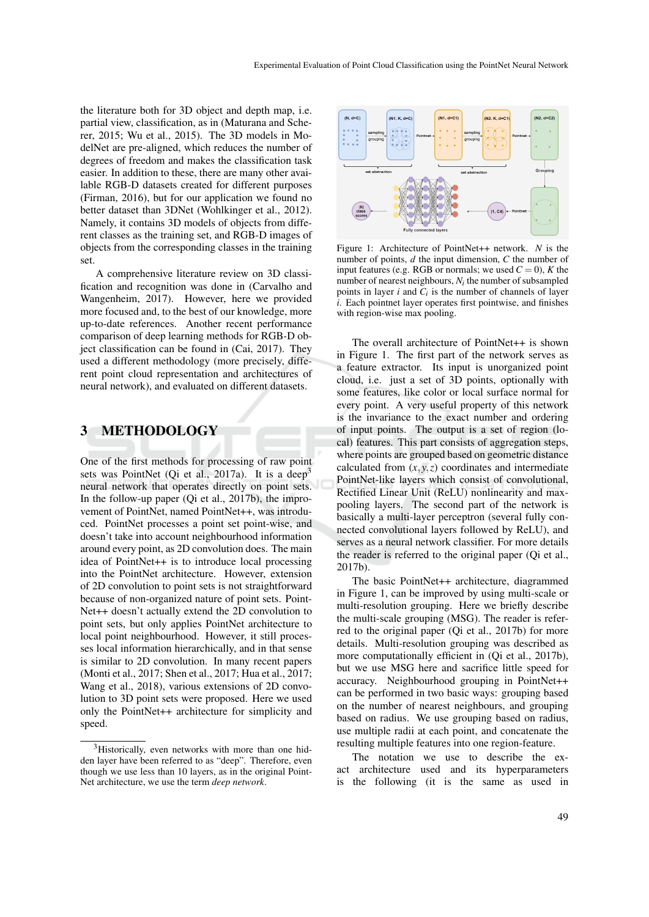the literature both for 3D object and depth map, i.e. partial view, classification, as in (Maturana and Scherer, 2015; Wu et al., 2015). The 3D models in ModelNet are pre-aligned, which reduces the number of degrees of freedom and makes the classification task easier. In addition to these, there are many other available RGB-D datasets created for different purposes (Firman, 2016), but for our application we found no better dataset than 3DNet (Wohlkinger et al., 2012). Namely, it contains 3D models of objects from different classes as the training set, and RGB-D images of objects from the corresponding classes in the training set.

A comprehensive literature review on 3D classification and recognition was done in (Carvalho and Wangenheim, 2017). However, here we provided more focused and, to the best of our knowledge, more up-to-date references. Another recent performance comparison of deep learning methods for RGB-D object classification can be found in (Cai, 2017). They used a different methodology (more precisely, different point cloud representation and architectures of neural network), and evaluated on different datasets.

#### 3 METHODOLOGY

One of the first methods for processing of raw point sets was PointNet (Oi et al., 2017a). It is a deep<sup>3</sup> neural network that operates directly on point sets. In the follow-up paper (Qi et al., 2017b), the improvement of PointNet, named PointNet++, was introduced. PointNet processes a point set point-wise, and doesn't take into account neighbourhood information around every point, as 2D convolution does. The main idea of PointNet++ is to introduce local processing into the PointNet architecture. However, extension of 2D convolution to point sets is not straightforward because of non-organized nature of point sets. Point-Net++ doesn't actually extend the 2D convolution to point sets, but only applies PointNet architecture to local point neighbourhood. However, it still processes local information hierarchically, and in that sense is similar to 2D convolution. In many recent papers (Monti et al., 2017; Shen et al., 2017; Hua et al., 2017; Wang et al., 2018), various extensions of 2D convolution to 3D point sets were proposed. Here we used only the PointNet++ architecture for simplicity and speed.



Figure 1: Architecture of PointNet++ network. *N* is the number of points, *d* the input dimension, *C* the number of input features (e.g. RGB or normals; we used  $C = 0$ ),  $K$  the number of nearest neighbours,  $N_i$  the number of subsampled points in layer  $i$  and  $C_i$  is the number of channels of layer *i*. Each pointnet layer operates first pointwise, and finishes with region-wise max pooling.

The overall architecture of PointNet++ is shown in Figure 1. The first part of the network serves as a feature extractor. Its input is unorganized point cloud, i.e. just a set of 3D points, optionally with some features, like color or local surface normal for every point. A very useful property of this network is the invariance to the exact number and ordering of input points. The output is a set of region (local) features. This part consists of aggregation steps, where points are grouped based on geometric distance calculated from  $(x, y, z)$  coordinates and intermediate PointNet-like layers which consist of convolutional, Rectified Linear Unit (ReLU) nonlinearity and maxpooling layers. The second part of the network is basically a multi-layer perceptron (several fully connected convolutional layers followed by ReLU), and serves as a neural network classifier. For more details the reader is referred to the original paper (Qi et al., 2017b).

The basic PointNet++ architecture, diagrammed in Figure 1, can be improved by using multi-scale or multi-resolution grouping. Here we briefly describe the multi-scale grouping (MSG). The reader is referred to the original paper (Qi et al., 2017b) for more details. Multi-resolution grouping was described as more computationally efficient in (Qi et al., 2017b), but we use MSG here and sacrifice little speed for accuracy. Neighbourhood grouping in PointNet++ can be performed in two basic ways: grouping based on the number of nearest neighbours, and grouping based on radius. We use grouping based on radius, use multiple radii at each point, and concatenate the resulting multiple features into one region-feature.

The notation we use to describe the exact architecture used and its hyperparameters is the following (it is the same as used in

<sup>&</sup>lt;sup>3</sup>Historically, even networks with more than one hidden layer have been referred to as "deep". Therefore, even though we use less than 10 layers, as in the original Point-Net architecture, we use the term *deep network*.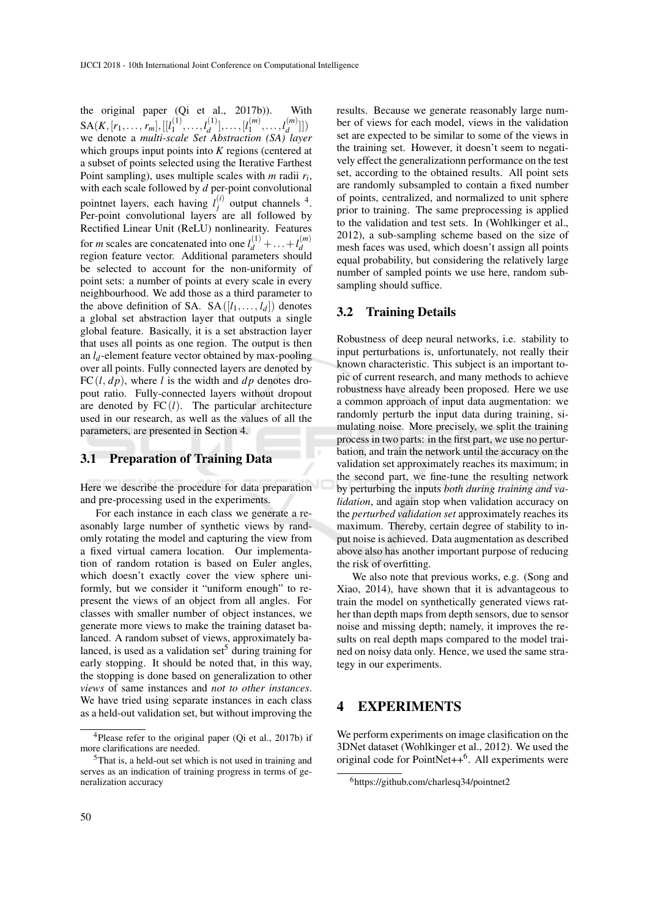the original paper (Qi et al., 2017b)). With  $\mathrm{SA}(K,[r_1,\ldots,r_m],[[l_1^{(1)}])$  $l_1^{(1)}, \ldots, l_d^{(1)}$  $\binom{1}{d}$ , ...,  $\binom{l}{1}$  $l_1^{(m)}, \ldots, l_d^{(m)}$  $\binom{m}{d}$ ]) we denote a *multi-scale Set Abstraction (SA) layer* which groups input points into *K* regions (centered at a subset of points selected using the Iterative Farthest Point sampling), uses multiple scales with *m* radii *r<sup>i</sup>* , with each scale followed by *d* per-point convolutional pointnet layers, each having  $l_i^{(i)}$  $j^{(t)}$  output channels <sup>4</sup>. Per-point convolutional layers are all followed by Rectified Linear Unit (ReLU) nonlinearity. Features for *m* scales are concatenated into one  $l_d^{(1)} + \ldots + l_d^{(m)}$ For *m* scales are concalentated into one  $\iota_d$  +  $\dots$ + $\iota_d$ <br>region feature vector. Additional parameters should be selected to account for the non-uniformity of point sets: a number of points at every scale in every neighbourhood. We add those as a third parameter to the above definition of SA. SA $([l_1, \ldots, l_d])$  denotes a global set abstraction layer that outputs a single global feature. Basically, it is a set abstraction layer that uses all points as one region. The output is then an  $l_d$ -element feature vector obtained by max-pooling over all points. Fully connected layers are denoted by FC $(l, dp)$ , where *l* is the width and *dp* denotes dropout ratio. Fully-connected layers without dropout are denoted by  $FC(l)$ . The particular architecture used in our research, as well as the values of all the parameters, are presented in Section 4.

#### 3.1 Preparation of Training Data

Here we describe the procedure for data preparation and pre-processing used in the experiments.

For each instance in each class we generate a reasonably large number of synthetic views by randomly rotating the model and capturing the view from a fixed virtual camera location. Our implementation of random rotation is based on Euler angles, which doesn't exactly cover the view sphere uniformly, but we consider it "uniform enough" to represent the views of an object from all angles. For classes with smaller number of object instances, we generate more views to make the training dataset balanced. A random subset of views, approximately balanced, is used as a validation set<sup>5</sup> during training for early stopping. It should be noted that, in this way, the stopping is done based on generalization to other *views* of same instances and *not to other instances*. We have tried using separate instances in each class as a held-out validation set, but without improving the results. Because we generate reasonably large number of views for each model, views in the validation set are expected to be similar to some of the views in the training set. However, it doesn't seem to negatively effect the generalizationn performance on the test set, according to the obtained results. All point sets are randomly subsampled to contain a fixed number of points, centralized, and normalized to unit sphere prior to training. The same preprocessing is applied to the validation and test sets. In (Wohlkinger et al., 2012), a sub-sampling scheme based on the size of mesh faces was used, which doesn't assign all points equal probability, but considering the relatively large number of sampled points we use here, random subsampling should suffice.

#### 3.2 Training Details

Robustness of deep neural networks, i.e. stability to input perturbations is, unfortunately, not really their known characteristic. This subject is an important topic of current research, and many methods to achieve robustness have already been proposed. Here we use a common approach of input data augmentation: we randomly perturb the input data during training, simulating noise. More precisely, we split the training process in two parts: in the first part, we use no perturbation, and train the network until the accuracy on the validation set approximately reaches its maximum; in the second part, we fine-tune the resulting network by perturbing the inputs *both during training and validation*, and again stop when validation accuracy on the *perturbed validation set* approximately reaches its maximum. Thereby, certain degree of stability to input noise is achieved. Data augmentation as described above also has another important purpose of reducing the risk of overfitting.

We also note that previous works, e.g. (Song and Xiao, 2014), have shown that it is advantageous to train the model on synthetically generated views rather than depth maps from depth sensors, due to sensor noise and missing depth; namely, it improves the results on real depth maps compared to the model trained on noisy data only. Hence, we used the same strategy in our experiments.

## 4 EXPERIMENTS

We perform experiments on image clasification on the 3DNet dataset (Wohlkinger et al., 2012). We used the original code for PointNet++<sup>6</sup>. All experiments were

 $4$ Please refer to the original paper (Qi et al., 2017b) if more clarifications are needed.

<sup>5</sup>That is, a held-out set which is not used in training and serves as an indication of training progress in terms of generalization accuracy

<sup>6</sup>https://github.com/charlesq34/pointnet2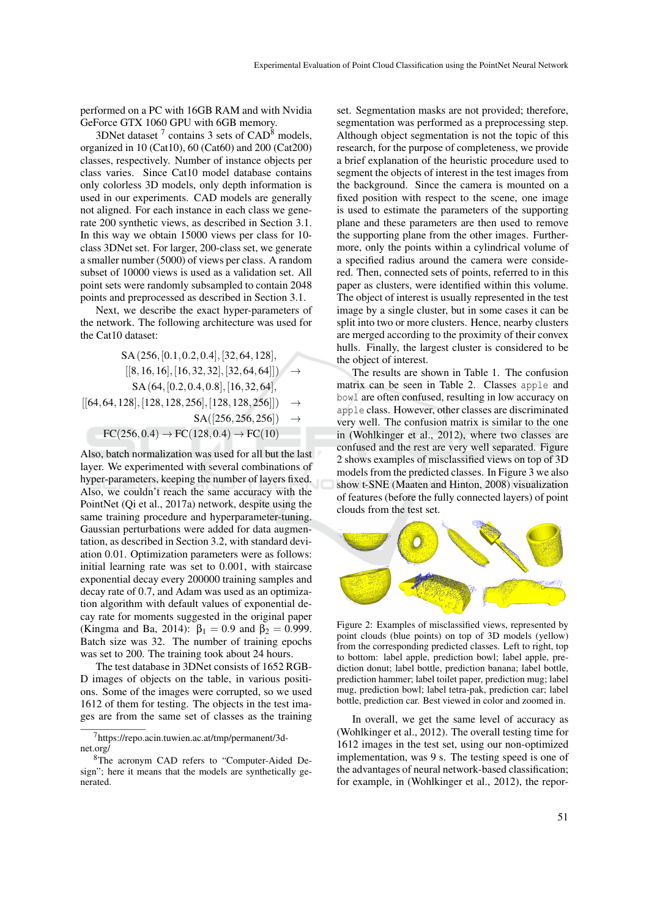performed on a PC with 16GB RAM and with Nvidia GeForce GTX 1060 GPU with 6GB memory.

3DNet dataset  $7$  contains 3 sets of  $CAD^8$  models, organized in 10 (Cat10), 60 (Cat60) and 200 (Cat200) classes, respectively. Number of instance objects per class varies. Since Cat10 model database contains only colorless 3D models, only depth information is used in our experiments. CAD models are generally not aligned. For each instance in each class we generate 200 synthetic views, as described in Section 3.1. In this way we obtain 15000 views per class for 10 class 3DNet set. For larger, 200-class set, we generate a smaller number (5000) of views per class. A random subset of 10000 views is used as a validation set. All point sets were randomly subsampled to contain 2048 points and preprocessed as described in Section 3.1.

Next, we describe the exact hyper-parameters of the network. The following architecture was used for the Cat10 dataset:

$$
SA (256, [0.1, 0.2, 0.4], [32, 64, 128],\n[[8, 16, 16], [16, 32, 32], [32, 64, 64]]) \rightarrow\nSA (64, [0.2, 0.4, 0.8], [16, 32, 64],\n[[64, 64, 128], [128, 128, 256], [128, 128, 256]]) \rightarrow\nSA ([256, 256, 256]) \rightarrow\nFC (256, 0.4) \rightarrow FC (128, 0.4) \rightarrow FC (10)
$$

Also, batch normalization was used for all but the last layer. We experimented with several combinations of hyper-parameters, keeping the number of layers fixed. Also, we couldn't reach the same accuracy with the PointNet (Qi et al., 2017a) network, despite using the same training procedure and hyperparameter-tuning. Gaussian perturbations were added for data augmentation, as described in Section 3.2, with standard deviation 0.01. Optimization parameters were as follows: initial learning rate was set to 0.001, with staircase exponential decay every 200000 training samples and decay rate of 0.7, and Adam was used as an optimization algorithm with default values of exponential decay rate for moments suggested in the original paper (Kingma and Ba, 2014):  $\beta_1 = 0.9$  and  $\beta_2 = 0.999$ . Batch size was 32. The number of training epochs was set to 200. The training took about 24 hours.

The test database in 3DNet consists of 1652 RGB-D images of objects on the table, in various positions. Some of the images were corrupted, so we used 1612 of them for testing. The objects in the test images are from the same set of classes as the training

set. Segmentation masks are not provided; therefore, segmentation was performed as a preprocessing step. Although object segmentation is not the topic of this research, for the purpose of completeness, we provide a brief explanation of the heuristic procedure used to segment the objects of interest in the test images from the background. Since the camera is mounted on a fixed position with respect to the scene, one image is used to estimate the parameters of the supporting plane and these parameters are then used to remove the supporting plane from the other images. Furthermore, only the points within a cylindrical volume of a specified radius around the camera were considered. Then, connected sets of points, referred to in this paper as clusters, were identified within this volume. The object of interest is usually represented in the test image by a single cluster, but in some cases it can be split into two or more clusters. Hence, nearby clusters are merged according to the proximity of their convex hulls. Finally, the largest cluster is considered to be the object of interest.

The results are shown in Table 1. The confusion matrix can be seen in Table 2. Classes apple and bowl are often confused, resulting in low accuracy on apple class. However, other classes are discriminated very well. The confusion matrix is similar to the one in (Wohlkinger et al., 2012), where two classes are confused and the rest are very well separated. Figure 2 shows examples of misclassified views on top of 3D models from the predicted classes. In Figure 3 we also show t-SNE (Maaten and Hinton, 2008) visualization of features (before the fully connected layers) of point clouds from the test set.



Figure 2: Examples of misclassified views, represented by point clouds (blue points) on top of 3D models (yellow) from the corresponding predicted classes. Left to right, top to bottom: label apple, prediction bowl; label apple, prediction donut; label bottle, prediction banana; label bottle, prediction hammer; label toilet paper, prediction mug; label mug, prediction bowl; label tetra-pak, prediction car; label bottle, prediction car. Best viewed in color and zoomed in.

In overall, we get the same level of accuracy as (Wohlkinger et al., 2012). The overall testing time for 1612 images in the test set, using our non-optimized implementation, was 9 s. The testing speed is one of the advantages of neural network-based classification; for example, in (Wohlkinger et al., 2012), the repor-

<sup>7</sup>https://repo.acin.tuwien.ac.at/tmp/permanent/3dnet.org/

<sup>8</sup>The acronym CAD refers to "Computer-Aided Design"; here it means that the models are synthetically generated.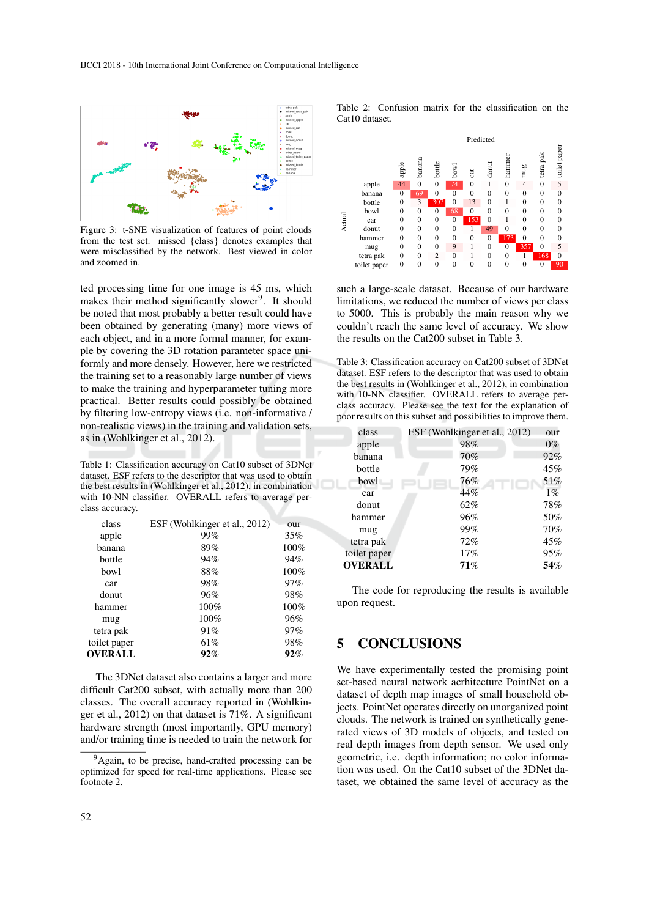

Figure 3: t-SNE visualization of features of point clouds from the test set. missed\_{class} denotes examples that were misclassified by the network. Best viewed in color and zoomed in.

ted processing time for one image is 45 ms, which makes their method significantly slower<sup>9</sup>. It should be noted that most probably a better result could have been obtained by generating (many) more views of each object, and in a more formal manner, for example by covering the 3D rotation parameter space uniformly and more densely. However, here we restricted the training set to a reasonably large number of views to make the training and hyperparameter tuning more practical. Better results could possibly be obtained by filtering low-entropy views (i.e. non-informative / non-realistic views) in the training and validation sets, as in (Wohlkinger et al., 2012).

Table 1: Classification accuracy on Cat10 subset of 3DNet dataset. ESF refers to the descriptor that was used to obtain the best results in (Wohlkinger et al., 2012), in combination with 10-NN classifier. OVERALL refers to average perclass accuracy.

| class          | ESF (Wohlkinger et al., 2012) | our  |
|----------------|-------------------------------|------|
| apple          | 99%                           | 35%  |
| banana         | 89%                           | 100% |
| bottle         | 94%                           | 94%  |
| <b>bowl</b>    | 88%                           | 100% |
| car            | 98%                           | 97%  |
| donut          | 96%                           | 98%  |
| hammer         | 100%                          | 100% |
| mug            | 100%                          | 96%  |
| tetra pak      | 91%                           | 97%  |
| toilet paper   | 61%                           | 98%  |
| <b>OVERALL</b> | 92%                           | 92%  |
|                |                               |      |

The 3DNet dataset also contains a larger and more difficult Cat200 subset, with actually more than 200 classes. The overall accuracy reported in (Wohlkinger et al., 2012) on that dataset is 71%. A significant hardware strength (most importantly, GPU memory) and/or training time is needed to train the network for Table 2: Confusion matrix for the classification on the Cat10 dataset.



such a large-scale dataset. Because of our hardware limitations, we reduced the number of views per class to 5000. This is probably the main reason why we couldn't reach the same level of accuracy. We show the results on the Cat200 subset in Table 3.

Table 3: Classification accuracy on Cat200 subset of 3DNet dataset. ESF refers to the descriptor that was used to obtain the best results in (Wohlkinger et al., 2012), in combination with 10-NN classifier. OVERALL refers to average perclass accuracy. Please see the text for the explanation of poor results on this subset and possibilities to improve them.

| class          | ESF (Wohlkinger et al., 2012) | our   |
|----------------|-------------------------------|-------|
| apple          | 98%                           | $0\%$ |
| banana         | 70%                           | 92%   |
| bottle         | 79%                           | 45%   |
| bowl           | 76%                           | 51%   |
| car            | 44%                           | $1\%$ |
| donut          | 62%                           | 78%   |
| hammer         | 96%                           | 50%   |
| mug            | 99%                           | 70%   |
| tetra pak      | 72%                           | 45%   |
| toilet paper   | 17%                           | 95%   |
| <b>OVERALL</b> | 71%                           | 54%   |
|                |                               |       |

The code for reproducing the results is available upon request.

## 5 CONCLUSIONS

We have experimentally tested the promising point set-based neural network acrhitecture PointNet on a dataset of depth map images of small household objects. PointNet operates directly on unorganized point clouds. The network is trained on synthetically generated views of 3D models of objects, and tested on real depth images from depth sensor. We used only geometric, i.e. depth information; no color information was used. On the Cat10 subset of the 3DNet dataset, we obtained the same level of accuracy as the

<sup>&</sup>lt;sup>9</sup>Again, to be precise, hand-crafted processing can be optimized for speed for real-time applications. Please see footnote 2.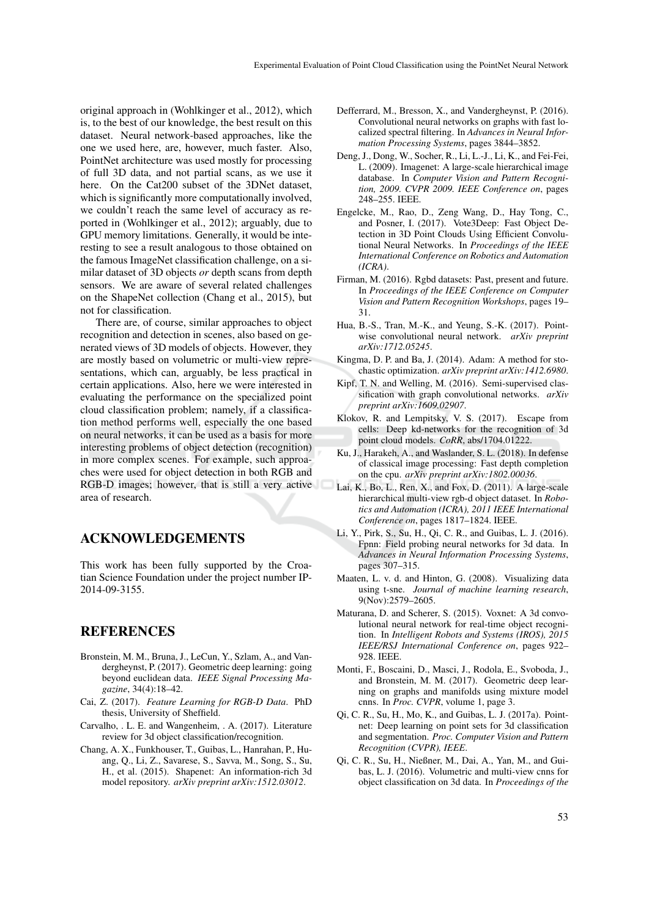original approach in (Wohlkinger et al., 2012), which is, to the best of our knowledge, the best result on this dataset. Neural network-based approaches, like the one we used here, are, however, much faster. Also, PointNet architecture was used mostly for processing of full 3D data, and not partial scans, as we use it here. On the Cat200 subset of the 3DNet dataset, which is significantly more computationally involved, we couldn't reach the same level of accuracy as reported in (Wohlkinger et al., 2012); arguably, due to GPU memory limitations. Generally, it would be interesting to see a result analogous to those obtained on the famous ImageNet classification challenge, on a similar dataset of 3D objects *or* depth scans from depth sensors. We are aware of several related challenges on the ShapeNet collection (Chang et al., 2015), but not for classification.

There are, of course, similar approaches to object recognition and detection in scenes, also based on generated views of 3D models of objects. However, they are mostly based on volumetric or multi-view representations, which can, arguably, be less practical in certain applications. Also, here we were interested in evaluating the performance on the specialized point cloud classification problem; namely, if a classification method performs well, especially the one based on neural networks, it can be used as a basis for more interesting problems of object detection (recognition) in more complex scenes. For example, such approaches were used for object detection in both RGB and RGB-D images; however, that is still a very active area of research.

## ACKNOWLEDGEMENTS

This work has been fully supported by the Croatian Science Foundation under the project number IP-2014-09-3155.

## REFERENCES

- Bronstein, M. M., Bruna, J., LeCun, Y., Szlam, A., and Vandergheynst, P. (2017). Geometric deep learning: going beyond euclidean data. *IEEE Signal Processing Magazine*, 34(4):18–42.
- Cai, Z. (2017). *Feature Learning for RGB-D Data*. PhD thesis, University of Sheffield.
- Carvalho, . L. E. and Wangenheim, . A. (2017). Literature review for 3d object classification/recognition.
- Chang, A. X., Funkhouser, T., Guibas, L., Hanrahan, P., Huang, Q., Li, Z., Savarese, S., Savva, M., Song, S., Su, H., et al. (2015). Shapenet: An information-rich 3d model repository. *arXiv preprint arXiv:1512.03012*.
- Defferrard, M., Bresson, X., and Vandergheynst, P. (2016). Convolutional neural networks on graphs with fast localized spectral filtering. In *Advances in Neural Information Processing Systems*, pages 3844–3852.
- Deng, J., Dong, W., Socher, R., Li, L.-J., Li, K., and Fei-Fei, L. (2009). Imagenet: A large-scale hierarchical image database. In *Computer Vision and Pattern Recognition, 2009. CVPR 2009. IEEE Conference on*, pages 248–255. IEEE.
- Engelcke, M., Rao, D., Zeng Wang, D., Hay Tong, C., and Posner, I. (2017). Vote3Deep: Fast Object Detection in 3D Point Clouds Using Efficient Convolutional Neural Networks. In *Proceedings of the IEEE International Conference on Robotics and Automation (ICRA)*.
- Firman, M. (2016). Rgbd datasets: Past, present and future. In *Proceedings of the IEEE Conference on Computer Vision and Pattern Recognition Workshops*, pages 19– 31.
- Hua, B.-S., Tran, M.-K., and Yeung, S.-K. (2017). Pointwise convolutional neural network. *arXiv preprint arXiv:1712.05245*.
- Kingma, D. P. and Ba, J. (2014). Adam: A method for stochastic optimization. *arXiv preprint arXiv:1412.6980*.
- Kipf, T. N. and Welling, M. (2016). Semi-supervised classification with graph convolutional networks. *arXiv preprint arXiv:1609.02907*.
- Klokov, R. and Lempitsky, V. S. (2017). Escape from cells: Deep kd-networks for the recognition of 3d point cloud models. *CoRR*, abs/1704.01222.
- Ku, J., Harakeh, A., and Waslander, S. L. (2018). In defense of classical image processing: Fast depth completion on the cpu. *arXiv preprint arXiv:1802.00036*.
- Lai, K., Bo, L., Ren, X., and Fox, D. (2011). A large-scale hierarchical multi-view rgb-d object dataset. In *Robotics and Automation (ICRA), 2011 IEEE International Conference on*, pages 1817–1824. IEEE.
- Li, Y., Pirk, S., Su, H., Qi, C. R., and Guibas, L. J. (2016). Fpnn: Field probing neural networks for 3d data. In *Advances in Neural Information Processing Systems*, pages 307–315.
- Maaten, L. v. d. and Hinton, G. (2008). Visualizing data using t-sne. *Journal of machine learning research*, 9(Nov):2579–2605.
- Maturana, D. and Scherer, S. (2015). Voxnet: A 3d convolutional neural network for real-time object recognition. In *Intelligent Robots and Systems (IROS), 2015 IEEE/RSJ International Conference on*, pages 922– 928. IEEE.
- Monti, F., Boscaini, D., Masci, J., Rodola, E., Svoboda, J., and Bronstein, M. M. (2017). Geometric deep learning on graphs and manifolds using mixture model cnns. In *Proc. CVPR*, volume 1, page 3.
- Qi, C. R., Su, H., Mo, K., and Guibas, L. J. (2017a). Pointnet: Deep learning on point sets for 3d classification and segmentation. *Proc. Computer Vision and Pattern Recognition (CVPR), IEEE*.
- Qi, C. R., Su, H., Nießner, M., Dai, A., Yan, M., and Guibas, L. J. (2016). Volumetric and multi-view cnns for object classification on 3d data. In *Proceedings of the*